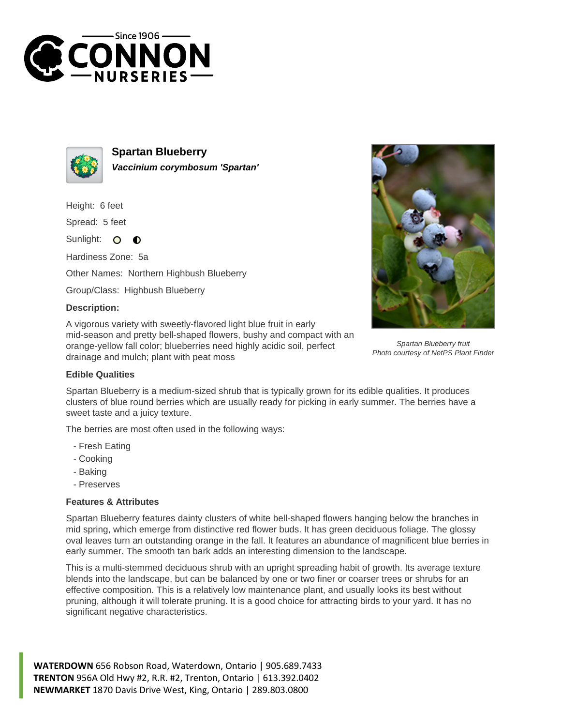



**Spartan Blueberry Vaccinium corymbosum 'Spartan'**

Height: 6 feet

Spread: 5 feet

Sunlight:  $\circ$  $\bullet$ 

Hardiness Zone: 5a

Other Names: Northern Highbush Blueberry

Group/Class: Highbush Blueberry

## **Description:**

A vigorous variety with sweetly-flavored light blue fruit in early mid-season and pretty bell-shaped flowers, bushy and compact with an orange-yellow fall color; blueberries need highly acidic soil, perfect drainage and mulch; plant with peat moss



Spartan Blueberry fruit Photo courtesy of NetPS Plant Finder

## **Edible Qualities**

Spartan Blueberry is a medium-sized shrub that is typically grown for its edible qualities. It produces clusters of blue round berries which are usually ready for picking in early summer. The berries have a sweet taste and a juicy texture.

The berries are most often used in the following ways:

- Fresh Eating
- Cooking
- Baking
- Preserves

## **Features & Attributes**

Spartan Blueberry features dainty clusters of white bell-shaped flowers hanging below the branches in mid spring, which emerge from distinctive red flower buds. It has green deciduous foliage. The glossy oval leaves turn an outstanding orange in the fall. It features an abundance of magnificent blue berries in early summer. The smooth tan bark adds an interesting dimension to the landscape.

This is a multi-stemmed deciduous shrub with an upright spreading habit of growth. Its average texture blends into the landscape, but can be balanced by one or two finer or coarser trees or shrubs for an effective composition. This is a relatively low maintenance plant, and usually looks its best without pruning, although it will tolerate pruning. It is a good choice for attracting birds to your yard. It has no significant negative characteristics.

**WATERDOWN** 656 Robson Road, Waterdown, Ontario | 905.689.7433 **TRENTON** 956A Old Hwy #2, R.R. #2, Trenton, Ontario | 613.392.0402 **NEWMARKET** 1870 Davis Drive West, King, Ontario | 289.803.0800